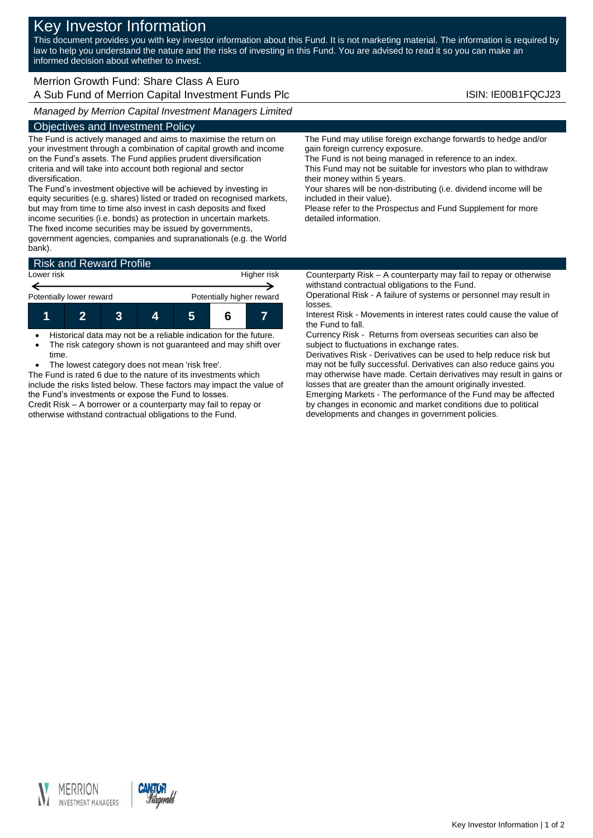# Key Investor Information

This document provides you with key investor information about this Fund. It is not marketing material. The information is required by law to help you understand the nature and the risks of investing in this Fund. You are advised to read it so you can make an informed decision about whether to invest.

# Merrion Growth Fund: Share Class A Euro A Sub Fund of Merrion Capital Investment Funds Plc **ISIN: IE00B1FQCJ23** ISIN: IE00B1FQCJ23

*Managed by Merrion Capital Investment Managers Limited*

# Objectives and Investment Policy

The Fund is actively managed and aims to maximise the return on your investment through a combination of capital growth and income on the Fund's assets. The Fund applies prudent diversification criteria and will take into account both regional and sector diversification.

The Fund's investment objective will be achieved by investing in equity securities (e.g. shares) listed or traded on recognised markets, but may from time to time also invest in cash deposits and fixed income securities (i.e. bonds) as protection in uncertain markets. The fixed income securities may be issued by governments,

government agencies, companies and supranationals (e.g. the World bank).

| <b>Risk and Reward Profile</b> |  |  |  |                           |  |  |  |
|--------------------------------|--|--|--|---------------------------|--|--|--|
| Lower risk                     |  |  |  | Higher risk               |  |  |  |
| Potentially lower reward       |  |  |  | Potentially higher reward |  |  |  |
|                                |  |  |  | 5                         |  |  |  |

 Historical data may not be a reliable indication for the future. The risk category shown is not guaranteed and may shift over time.

The lowest category does not mean 'risk free'.

The Fund is rated 6 due to the nature of its investments which include the risks listed below. These factors may impact the value of the Fund's investments or expose the Fund to losses. Credit Risk – A borrower or a counterparty may fail to repay or otherwise withstand contractual obligations to the Fund.

The Fund may utilise foreign exchange forwards to hedge and/or gain foreign currency exposure.

The Fund is not being managed in reference to an index. This Fund may not be suitable for investors who plan to withdraw their money within 5 years.

Your shares will be non-distributing (i.e. dividend income will be included in their value).

Please refer to the Prospectus and Fund Supplement for more detailed information.

Counterparty Risk – A counterparty may fail to repay or otherwise withstand contractual obligations to the Fund.

Operational Risk - A failure of systems or personnel may result in losses.

Interest Risk - Movements in interest rates could cause the value of the Fund to fall.

Currency Risk - Returns from overseas securities can also be subject to fluctuations in exchange rates.

Derivatives Risk - Derivatives can be used to help reduce risk but may not be fully successful. Derivatives can also reduce gains you may otherwise have made. Certain derivatives may result in gains or losses that are greater than the amount originally invested. Emerging Markets - The performance of the Fund may be affected by changes in economic and market conditions due to political developments and changes in government policies.